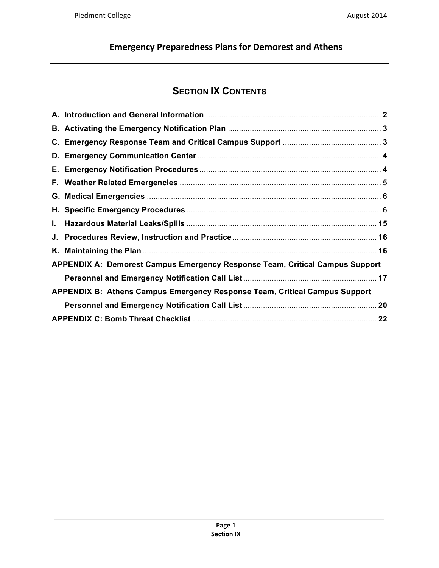# **SECTION IX CONTENTS**

| <b>APPENDIX A: Demorest Campus Emergency Response Team, Critical Campus Support</b> |  |
|-------------------------------------------------------------------------------------|--|
|                                                                                     |  |
| APPENDIX B: Athens Campus Emergency Response Team, Critical Campus Support          |  |
|                                                                                     |  |
|                                                                                     |  |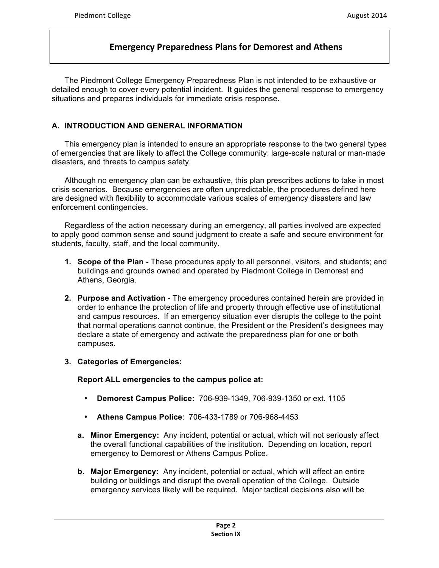The Piedmont College Emergency Preparedness Plan is not intended to be exhaustive or detailed enough to cover every potential incident. It guides the general response to emergency situations and prepares individuals for immediate crisis response.

### **A. INTRODUCTION AND GENERAL INFORMATION**

This emergency plan is intended to ensure an appropriate response to the two general types of emergencies that are likely to affect the College community: large-scale natural or man-made disasters, and threats to campus safety.

Although no emergency plan can be exhaustive, this plan prescribes actions to take in most crisis scenarios. Because emergencies are often unpredictable, the procedures defined here are designed with flexibility to accommodate various scales of emergency disasters and law enforcement contingencies.

Regardless of the action necessary during an emergency, all parties involved are expected to apply good common sense and sound judgment to create a safe and secure environment for students, faculty, staff, and the local community.

- **1. Scope of the Plan -** These procedures apply to all personnel, visitors, and students; and buildings and grounds owned and operated by Piedmont College in Demorest and Athens, Georgia.
- **2. Purpose and Activation -** The emergency procedures contained herein are provided in order to enhance the protection of life and property through effective use of institutional and campus resources. If an emergency situation ever disrupts the college to the point that normal operations cannot continue, the President or the President's designees may declare a state of emergency and activate the preparedness plan for one or both campuses.
- **3. Categories of Emergencies:**

### **Report ALL emergencies to the campus police at:**

- **Demorest Campus Police:** 706-939-1349, 706-939-1350 or ext. 1105
- **Athens Campus Police**: 706-433-1789 or 706-968-4453
- **a. Minor Emergency:** Any incident, potential or actual, which will not seriously affect the overall functional capabilities of the institution. Depending on location, report emergency to Demorest or Athens Campus Police.
- **b. Major Emergency:** Any incident, potential or actual, which will affect an entire building or buildings and disrupt the overall operation of the College. Outside emergency services likely will be required. Major tactical decisions also will be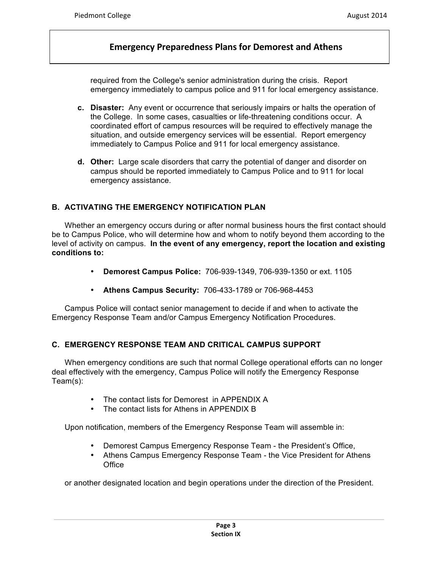required from the College's senior administration during the crisis. Report emergency immediately to campus police and 911 for local emergency assistance.

- **c. Disaster:** Any event or occurrence that seriously impairs or halts the operation of the College. In some cases, casualties or life-threatening conditions occur. A coordinated effort of campus resources will be required to effectively manage the situation, and outside emergency services will be essential. Report emergency immediately to Campus Police and 911 for local emergency assistance.
- **d. Other:** Large scale disorders that carry the potential of danger and disorder on campus should be reported immediately to Campus Police and to 911 for local emergency assistance.

### **B. ACTIVATING THE EMERGENCY NOTIFICATION PLAN**

Whether an emergency occurs during or after normal business hours the first contact should be to Campus Police, who will determine how and whom to notify beyond them according to the level of activity on campus. **In the event of any emergency, report the location and existing conditions to:**

- **Demorest Campus Police:** 706-939-1349, 706-939-1350 or ext. 1105
- **Athens Campus Security:** 706-433-1789 or 706-968-4453

Campus Police will contact senior management to decide if and when to activate the Emergency Response Team and/or Campus Emergency Notification Procedures.

### **C. EMERGENCY RESPONSE TEAM AND CRITICAL CAMPUS SUPPORT**

When emergency conditions are such that normal College operational efforts can no longer deal effectively with the emergency, Campus Police will notify the Emergency Response Team(s):

- The contact lists for Demorest in APPENDIX A
- The contact lists for Athens in APPENDIX B

Upon notification, members of the Emergency Response Team will assemble in:

- Demorest Campus Emergency Response Team the President's Office,
- Athens Campus Emergency Response Team the Vice President for Athens **Office**

or another designated location and begin operations under the direction of the President.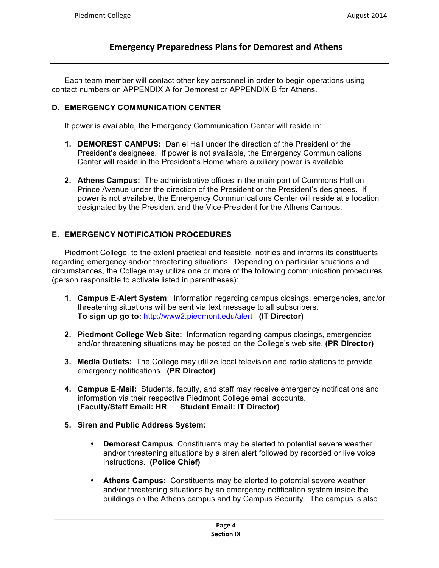Each team member will contact other key personnel in order to begin operations using contact numbers on APPENDIX A for Demorest or APPENDIX B for Athens.

#### **D. EMERGENCY COMMUNICATION CENTER**

If power is available, the Emergency Communication Center will reside in:

- **1. DEMOREST CAMPUS:** Daniel Hall under the direction of the President or the President's designees. If power is not available, the Emergency Communications Center will reside in the President's Home where auxiliary power is available.
- **2. Athens Campus:** The administrative offices in the main part of Commons Hall on Prince Avenue under the direction of the President or the President's designees. If power is not available, the Emergency Communications Center will reside at a location designated by the President and the Vice-President for the Athens Campus.

### **E. EMERGENCY NOTIFICATION PROCEDURES**

Piedmont College, to the extent practical and feasible, notifies and informs its constituents regarding emergency and/or threatening situations. Depending on particular situations and circumstances, the College may utilize one or more of the following communication procedures (person responsible to activate listed in parentheses):

- **1. Campus E-Alert System**: Information regarding campus closings, emergencies, and/or threatening situations will be sent via text message to all subscribers. **To sign up go to:** http://www2.piedmont.edu/alert **(IT Director)**
- **2. Piedmont College Web Site:** Information regarding campus closings, emergencies and/or threatening situations may be posted on the College's web site. **(PR Director)**
- **3. Media Outlets:** The College may utilize local television and radio stations to provide emergency notifications. **(PR Director)**
- **4. Campus E-Mail:** Students, faculty, and staff may receive emergency notifications and information via their respective Piedmont College email accounts. **(Faculty/Staff Email: HR Student Email: IT Director)**
- **5. Siren and Public Address System:** 
	- **Demorest Campus**: Constituents may be alerted to potential severe weather and/or threatening situations by a siren alert followed by recorded or live voice instructions. **(Police Chief)**
	- **Athens Campus:** Constituents may be alerted to potential severe weather and/or threatening situations by an emergency notification system inside the buildings on the Athens campus and by Campus Security. The campus is also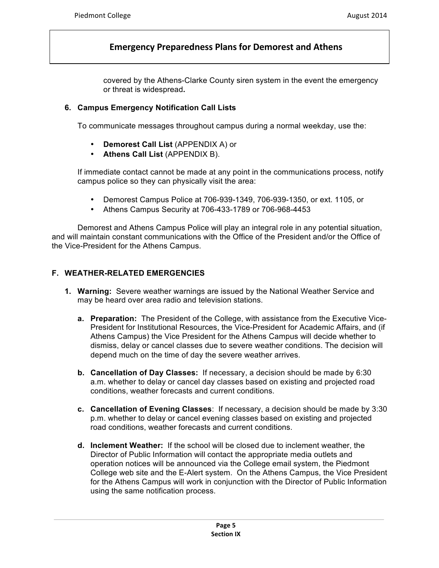covered by the Athens-Clarke County siren system in the event the emergency or threat is widespread**.**

#### **6. Campus Emergency Notification Call Lists**

To communicate messages throughout campus during a normal weekday, use the:

- **Demorest Call List** (APPENDIX A) or
- **Athens Call List** (APPENDIX B).

If immediate contact cannot be made at any point in the communications process, notify campus police so they can physically visit the area:

- Demorest Campus Police at 706-939-1349, 706-939-1350, or ext. 1105, or
- Athens Campus Security at 706-433-1789 or 706-968-4453

Demorest and Athens Campus Police will play an integral role in any potential situation, and will maintain constant communications with the Office of the President and/or the Office of the Vice-President for the Athens Campus.

### **F. WEATHER-RELATED EMERGENCIES**

- **1. Warning:** Severe weather warnings are issued by the National Weather Service and may be heard over area radio and television stations.
	- **a. Preparation:** The President of the College, with assistance from the Executive Vice-President for Institutional Resources, the Vice-President for Academic Affairs, and (if Athens Campus) the Vice President for the Athens Campus will decide whether to dismiss, delay or cancel classes due to severe weather conditions. The decision will depend much on the time of day the severe weather arrives.
	- **b. Cancellation of Day Classes:** If necessary, a decision should be made by 6:30 a.m. whether to delay or cancel day classes based on existing and projected road conditions, weather forecasts and current conditions.
	- **c. Cancellation of Evening Classes**: If necessary, a decision should be made by 3:30 p.m. whether to delay or cancel evening classes based on existing and projected road conditions, weather forecasts and current conditions.
	- **d. Inclement Weather:** If the school will be closed due to inclement weather, the Director of Public Information will contact the appropriate media outlets and operation notices will be announced via the College email system, the Piedmont College web site and the E-Alert system. On the Athens Campus, the Vice President for the Athens Campus will work in conjunction with the Director of Public Information using the same notification process.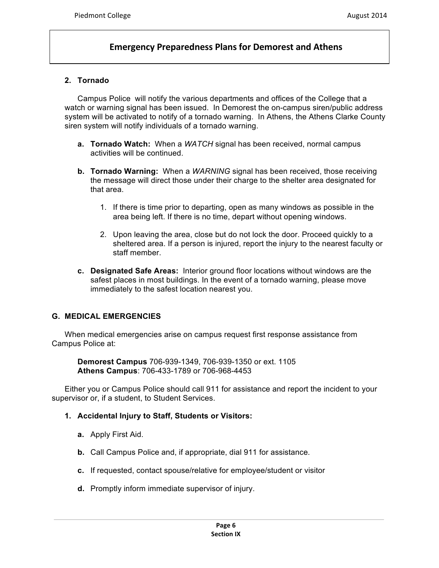#### **2. Tornado**

Campus Police will notify the various departments and offices of the College that a watch or warning signal has been issued. In Demorest the on-campus siren/public address system will be activated to notify of a tornado warning. In Athens, the Athens Clarke County siren system will notify individuals of a tornado warning.

- **a. Tornado Watch:** When a *WATCH* signal has been received, normal campus activities will be continued.
- **b. Tornado Warning:** When a *WARNING* signal has been received, those receiving the message will direct those under their charge to the shelter area designated for that area.
	- 1. If there is time prior to departing, open as many windows as possible in the area being left. If there is no time, depart without opening windows.
	- 2. Upon leaving the area, close but do not lock the door. Proceed quickly to a sheltered area. If a person is injured, report the injury to the nearest faculty or staff member.
- **c. Designated Safe Areas:** Interior ground floor locations without windows are the safest places in most buildings. In the event of a tornado warning, please move immediately to the safest location nearest you.

#### **G. MEDICAL EMERGENCIES**

When medical emergencies arise on campus request first response assistance from Campus Police at:

**Demorest Campus** 706-939-1349, 706-939-1350 or ext. 1105 **Athens Campus**: 706-433-1789 or 706-968-4453

Either you or Campus Police should call 911 for assistance and report the incident to your supervisor or, if a student, to Student Services.

- **1. Accidental Injury to Staff, Students or Visitors:**
	- **a.** Apply First Aid.
	- **b.** Call Campus Police and, if appropriate, dial 911 for assistance.
	- **c.** If requested, contact spouse/relative for employee/student or visitor
	- **d.** Promptly inform immediate supervisor of injury.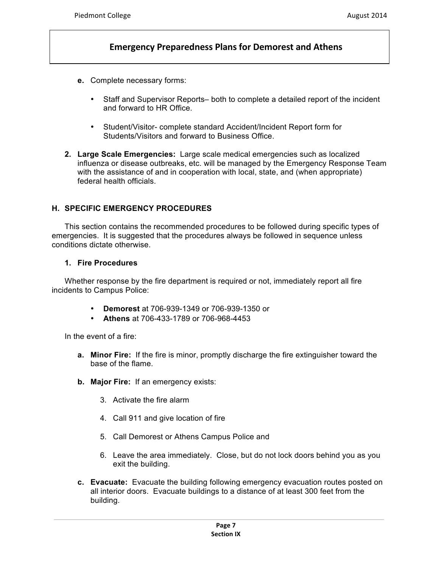- **e.** Complete necessary forms:
	- Staff and Supervisor Reports– both to complete a detailed report of the incident and forward to HR Office.
	- Student/Visitor- complete standard Accident/Incident Report form for Students/Visitors and forward to Business Office.
- **2. Large Scale Emergencies:** Large scale medical emergencies such as localized influenza or disease outbreaks, etc. will be managed by the Emergency Response Team with the assistance of and in cooperation with local, state, and (when appropriate) federal health officials.

### **H. SPECIFIC EMERGENCY PROCEDURES**

This section contains the recommended procedures to be followed during specific types of emergencies. It is suggested that the procedures always be followed in sequence unless conditions dictate otherwise.

#### **1. Fire Procedures**

Whether response by the fire department is required or not, immediately report all fire incidents to Campus Police:

- **Demorest** at 706-939-1349 or 706-939-1350 or
- **Athens** at 706-433-1789 or 706-968-4453

In the event of a fire:

- **a. Minor Fire:** If the fire is minor, promptly discharge the fire extinguisher toward the base of the flame.
- **b. Major Fire:** If an emergency exists:
	- 3. Activate the fire alarm
	- 4. Call 911 and give location of fire
	- 5. Call Demorest or Athens Campus Police and
	- 6. Leave the area immediately. Close, but do not lock doors behind you as you exit the building.
- **c. Evacuate:** Evacuate the building following emergency evacuation routes posted on all interior doors. Evacuate buildings to a distance of at least 300 feet from the building.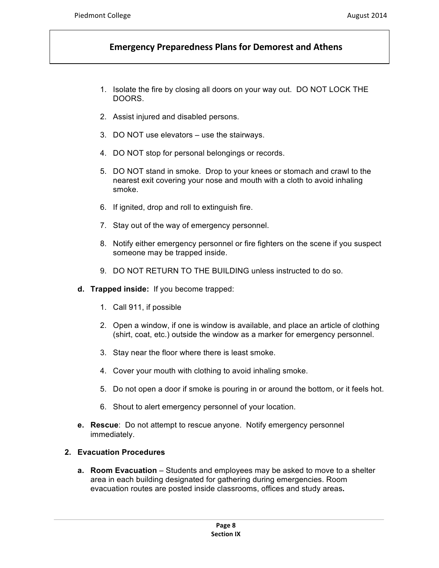- 1. Isolate the fire by closing all doors on your way out. DO NOT LOCK THE DOORS.
- 2. Assist injured and disabled persons.
- 3. DO NOT use elevators use the stairways.
- 4. DO NOT stop for personal belongings or records.
- 5. DO NOT stand in smoke. Drop to your knees or stomach and crawl to the nearest exit covering your nose and mouth with a cloth to avoid inhaling smoke.
- 6. If ignited, drop and roll to extinguish fire.
- 7. Stay out of the way of emergency personnel.
- 8. Notify either emergency personnel or fire fighters on the scene if you suspect someone may be trapped inside.
- 9. DO NOT RETURN TO THE BUILDING unless instructed to do so.
- **d. Trapped inside:** If you become trapped:
	- 1. Call 911, if possible
	- 2. Open a window, if one is window is available, and place an article of clothing (shirt, coat, etc.) outside the window as a marker for emergency personnel.
	- 3. Stay near the floor where there is least smoke.
	- 4. Cover your mouth with clothing to avoid inhaling smoke.
	- 5. Do not open a door if smoke is pouring in or around the bottom, or it feels hot.
	- 6. Shout to alert emergency personnel of your location.
- **e. Rescue**: Do not attempt to rescue anyone. Notify emergency personnel immediately.

#### **2. Evacuation Procedures**

**a. Room Evacuation** – Students and employees may be asked to move to a shelter area in each building designated for gathering during emergencies. Room evacuation routes are posted inside classrooms, offices and study areas**.**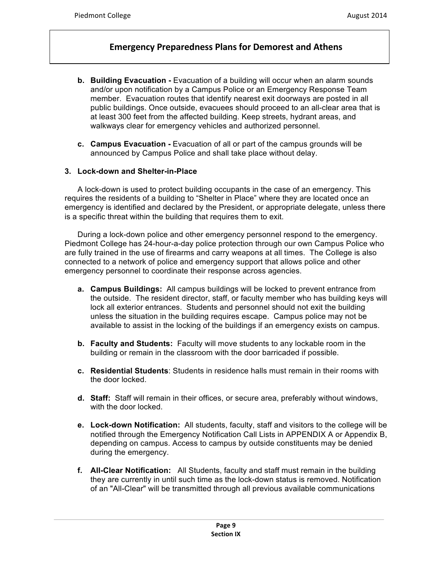- **b. Building Evacuation -** Evacuation of a building will occur when an alarm sounds and/or upon notification by a Campus Police or an Emergency Response Team member. Evacuation routes that identify nearest exit doorways are posted in all public buildings. Once outside, evacuees should proceed to an all-clear area that is at least 300 feet from the affected building. Keep streets, hydrant areas, and walkways clear for emergency vehicles and authorized personnel.
- **c. Campus Evacuation -** Evacuation of all or part of the campus grounds will be announced by Campus Police and shall take place without delay.

### **3. Lock-down and Shelter-in-Place**

A lock-down is used to protect building occupants in the case of an emergency. This requires the residents of a building to "Shelter in Place" where they are located once an emergency is identified and declared by the President, or appropriate delegate, unless there is a specific threat within the building that requires them to exit.

During a lock-down police and other emergency personnel respond to the emergency. Piedmont College has 24-hour-a-day police protection through our own Campus Police who are fully trained in the use of firearms and carry weapons at all times. The College is also connected to a network of police and emergency support that allows police and other emergency personnel to coordinate their response across agencies.

- **a. Campus Buildings:** All campus buildings will be locked to prevent entrance from the outside. The resident director, staff, or faculty member who has building keys will lock all exterior entrances. Students and personnel should not exit the building unless the situation in the building requires escape. Campus police may not be available to assist in the locking of the buildings if an emergency exists on campus.
- **b. Faculty and Students:** Faculty will move students to any lockable room in the building or remain in the classroom with the door barricaded if possible.
- **c. Residential Students**: Students in residence halls must remain in their rooms with the door locked.
- **d. Staff:** Staff will remain in their offices, or secure area, preferably without windows, with the door locked.
- **e. Lock-down Notification:** All students, faculty, staff and visitors to the college will be notified through the Emergency Notification Call Lists in APPENDIX A or Appendix B, depending on campus. Access to campus by outside constituents may be denied during the emergency.
- **f. All-Clear Notification:** All Students, faculty and staff must remain in the building they are currently in until such time as the lock-down status is removed. Notification of an "All-Clear" will be transmitted through all previous available communications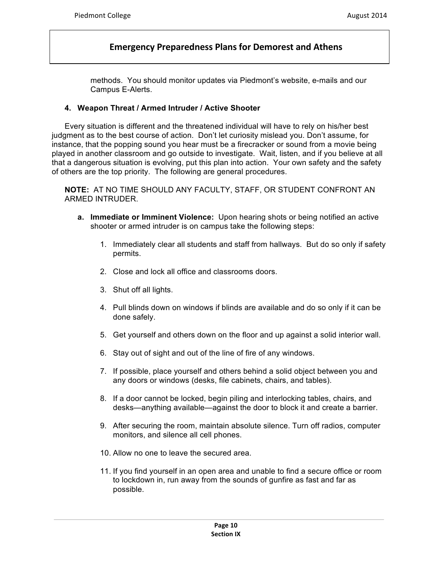methods. You should monitor updates via Piedmont's website, e-mails and our Campus E-Alerts.

#### **4. Weapon Threat / Armed Intruder / Active Shooter**

Every situation is different and the threatened individual will have to rely on his/her best judgment as to the best course of action. Don't let curiosity mislead you. Don't assume, for instance, that the popping sound you hear must be a firecracker or sound from a movie being played in another classroom and go outside to investigate. Wait, listen, and if you believe at all that a dangerous situation is evolving, put this plan into action. Your own safety and the safety of others are the top priority. The following are general procedures.

**NOTE:** AT NO TIME SHOULD ANY FACULTY, STAFF, OR STUDENT CONFRONT AN ARMED INTRUDER.

- **a. Immediate or Imminent Violence:** Upon hearing shots or being notified an active shooter or armed intruder is on campus take the following steps:
	- 1. Immediately clear all students and staff from hallways. But do so only if safety permits.
	- 2. Close and lock all office and classrooms doors.
	- 3. Shut off all lights.
	- 4. Pull blinds down on windows if blinds are available and do so only if it can be done safely.
	- 5. Get yourself and others down on the floor and up against a solid interior wall.
	- 6. Stay out of sight and out of the line of fire of any windows.
	- 7. If possible, place yourself and others behind a solid object between you and any doors or windows (desks, file cabinets, chairs, and tables).
	- 8. If a door cannot be locked, begin piling and interlocking tables, chairs, and desks—anything available—against the door to block it and create a barrier.
	- 9. After securing the room, maintain absolute silence. Turn off radios, computer monitors, and silence all cell phones.
	- 10. Allow no one to leave the secured area.
	- 11. If you find yourself in an open area and unable to find a secure office or room to lockdown in, run away from the sounds of gunfire as fast and far as possible.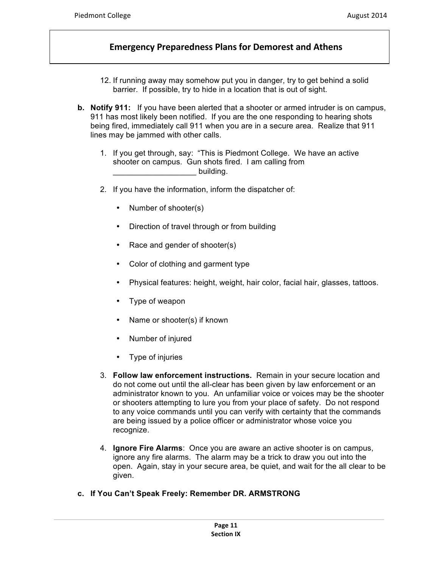- 12. If running away may somehow put you in danger, try to get behind a solid barrier. If possible, try to hide in a location that is out of sight.
- **b. Notify 911:** If you have been alerted that a shooter or armed intruder is on campus, 911 has most likely been notified. If you are the one responding to hearing shots being fired, immediately call 911 when you are in a secure area. Realize that 911 lines may be jammed with other calls.
	- 1. If you get through, say: "This is Piedmont College. We have an active shooter on campus. Gun shots fired. I am calling from building.
	- 2. If you have the information, inform the dispatcher of:
		- Number of shooter(s)
		- Direction of travel through or from building
		- Race and gender of shooter(s)
		- Color of clothing and garment type
		- Physical features: height, weight, hair color, facial hair, glasses, tattoos.
		- Type of weapon
		- Name or shooter(s) if known
		- Number of injured
		- Type of injuries
	- 3. **Follow law enforcement instructions.** Remain in your secure location and do not come out until the all-clear has been given by law enforcement or an administrator known to you. An unfamiliar voice or voices may be the shooter or shooters attempting to lure you from your place of safety. Do not respond to any voice commands until you can verify with certainty that the commands are being issued by a police officer or administrator whose voice you recognize.
	- 4. **Ignore Fire Alarms**: Once you are aware an active shooter is on campus, ignore any fire alarms. The alarm may be a trick to draw you out into the open. Again, stay in your secure area, be quiet, and wait for the all clear to be given.
- **c. If You Can't Speak Freely: Remember DR. ARMSTRONG**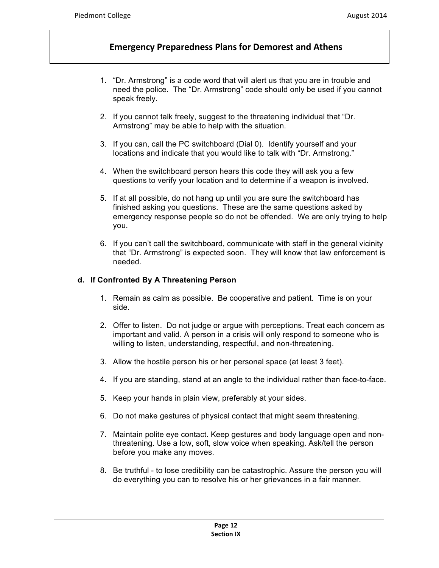- 1. "Dr. Armstrong" is a code word that will alert us that you are in trouble and need the police. The "Dr. Armstrong" code should only be used if you cannot speak freely.
- 2. If you cannot talk freely, suggest to the threatening individual that "Dr. Armstrong" may be able to help with the situation.
- 3. If you can, call the PC switchboard (Dial 0). Identify yourself and your locations and indicate that you would like to talk with "Dr. Armstrong."
- 4. When the switchboard person hears this code they will ask you a few questions to verify your location and to determine if a weapon is involved.
- 5. If at all possible, do not hang up until you are sure the switchboard has finished asking you questions. These are the same questions asked by emergency response people so do not be offended. We are only trying to help you.
- 6. If you can't call the switchboard, communicate with staff in the general vicinity that "Dr. Armstrong" is expected soon. They will know that law enforcement is needed.

#### **d. If Confronted By A Threatening Person**

- 1. Remain as calm as possible. Be cooperative and patient. Time is on your side.
- 2. Offer to listen. Do not judge or argue with perceptions. Treat each concern as important and valid. A person in a crisis will only respond to someone who is willing to listen, understanding, respectful, and non-threatening.
- 3. Allow the hostile person his or her personal space (at least 3 feet).
- 4. If you are standing, stand at an angle to the individual rather than face-to-face.
- 5. Keep your hands in plain view, preferably at your sides.
- 6. Do not make gestures of physical contact that might seem threatening.
- 7. Maintain polite eye contact. Keep gestures and body language open and nonthreatening. Use a low, soft, slow voice when speaking. Ask/tell the person before you make any moves.
- 8. Be truthful to lose credibility can be catastrophic. Assure the person you will do everything you can to resolve his or her grievances in a fair manner.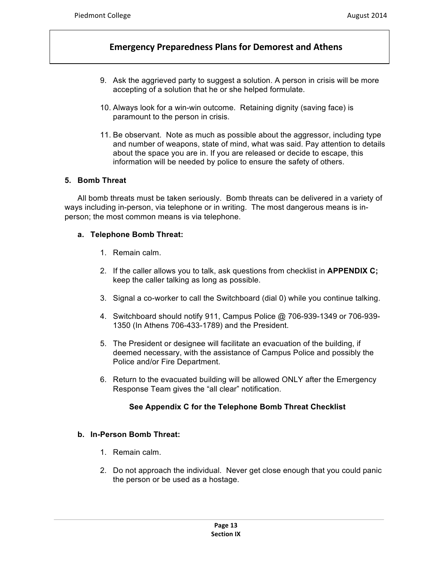- 9. Ask the aggrieved party to suggest a solution. A person in crisis will be more accepting of a solution that he or she helped formulate.
- 10. Always look for a win-win outcome. Retaining dignity (saving face) is paramount to the person in crisis.
- 11. Be observant. Note as much as possible about the aggressor, including type and number of weapons, state of mind, what was said. Pay attention to details about the space you are in. If you are released or decide to escape, this information will be needed by police to ensure the safety of others.

### **5. Bomb Threat**

All bomb threats must be taken seriously. Bomb threats can be delivered in a variety of ways including in-person, via telephone or in writing. The most dangerous means is inperson; the most common means is via telephone.

#### **a. Telephone Bomb Threat:**

- 1. Remain calm.
- 2. If the caller allows you to talk, ask questions from checklist in **APPENDIX C;** keep the caller talking as long as possible.
- 3. Signal a co-worker to call the Switchboard (dial 0) while you continue talking.
- 4. Switchboard should notify 911, Campus Police @ 706-939-1349 or 706-939- 1350 (In Athens 706-433-1789) and the President.
- 5. The President or designee will facilitate an evacuation of the building, if deemed necessary, with the assistance of Campus Police and possibly the Police and/or Fire Department.
- 6. Return to the evacuated building will be allowed ONLY after the Emergency Response Team gives the "all clear" notification.

### **See Appendix C for the Telephone Bomb Threat Checklist**

### **b. In-Person Bomb Threat:**

- 1. Remain calm.
- 2. Do not approach the individual. Never get close enough that you could panic the person or be used as a hostage.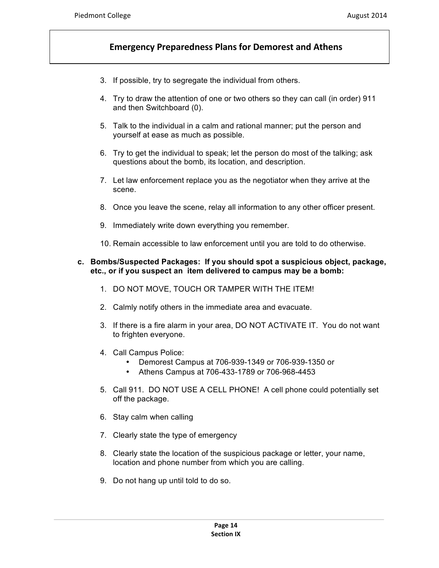- 3. If possible, try to segregate the individual from others.
- 4. Try to draw the attention of one or two others so they can call (in order) 911 and then Switchboard (0).
- 5. Talk to the individual in a calm and rational manner; put the person and yourself at ease as much as possible.
- 6. Try to get the individual to speak; let the person do most of the talking; ask questions about the bomb, its location, and description.
- 7. Let law enforcement replace you as the negotiator when they arrive at the scene.
- 8. Once you leave the scene, relay all information to any other officer present.
- 9. Immediately write down everything you remember.
- 10. Remain accessible to law enforcement until you are told to do otherwise.

#### **c. Bombs/Suspected Packages: If you should spot a suspicious object, package, etc., or if you suspect an item delivered to campus may be a bomb:**

- 1. DO NOT MOVE, TOUCH OR TAMPER WITH THE ITEM!
- 2. Calmly notify others in the immediate area and evacuate.
- 3. If there is a fire alarm in your area, DO NOT ACTIVATE IT. You do not want to frighten everyone.
- 4. Call Campus Police:
	- Demorest Campus at 706-939-1349 or 706-939-1350 or
	- Athens Campus at 706-433-1789 or 706-968-4453
- 5. Call 911. DO NOT USE A CELL PHONE! A cell phone could potentially set off the package.
- 6. Stay calm when calling
- 7. Clearly state the type of emergency
- 8. Clearly state the location of the suspicious package or letter, your name, location and phone number from which you are calling.
- 9. Do not hang up until told to do so.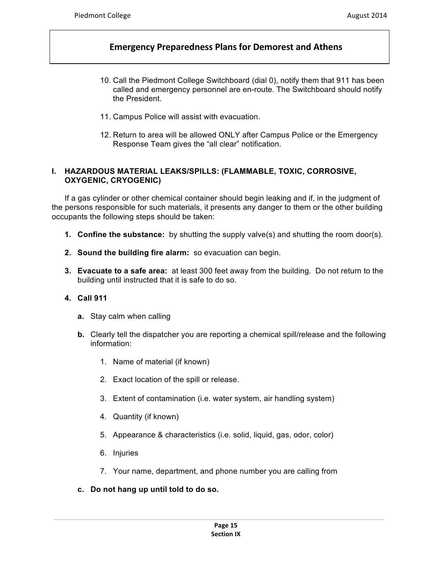- 10. Call the Piedmont College Switchboard (dial 0), notify them that 911 has been called and emergency personnel are en-route. The Switchboard should notify the President.
- 11. Campus Police will assist with evacuation.
- 12. Return to area will be allowed ONLY after Campus Police or the Emergency Response Team gives the "all clear" notification.

### **I. HAZARDOUS MATERIAL LEAKS/SPILLS: (FLAMMABLE, TOXIC, CORROSIVE, OXYGENIC, CRYOGENIC)**

If a gas cylinder or other chemical container should begin leaking and if, in the judgment of the persons responsible for such materials, it presents any danger to them or the other building occupants the following steps should be taken:

- **1. Confine the substance:** by shutting the supply valve(s) and shutting the room door(s).
- **2. Sound the building fire alarm:** so evacuation can begin.
- **3. Evacuate to a safe area:** at least 300 feet away from the building. Do not return to the building until instructed that it is safe to do so.

### **4. Call 911**

- **a.** Stay calm when calling
- **b.** Clearly tell the dispatcher you are reporting a chemical spill/release and the following information:
	- 1. Name of material (if known)
	- 2. Exact location of the spill or release.
	- 3. Extent of contamination (i.e. water system, air handling system)
	- 4. Quantity (if known)
	- 5. Appearance & characteristics (i.e. solid, liquid, gas, odor, color)
	- 6. Injuries
	- 7. Your name, department, and phone number you are calling from
- **c. Do not hang up until told to do so.**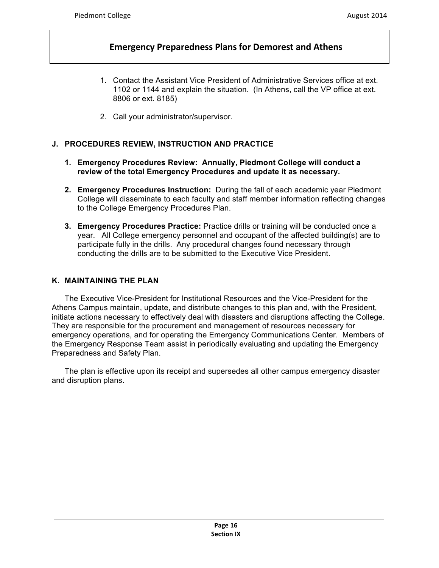- 1. Contact the Assistant Vice President of Administrative Services office at ext. 1102 or 1144 and explain the situation. (In Athens, call the VP office at ext. 8806 or ext. 8185)
- 2. Call your administrator/supervisor.

### **J. PROCEDURES REVIEW, INSTRUCTION AND PRACTICE**

- **1. Emergency Procedures Review: Annually, Piedmont College will conduct a review of the total Emergency Procedures and update it as necessary.**
- **2. Emergency Procedures Instruction:** During the fall of each academic year Piedmont College will disseminate to each faculty and staff member information reflecting changes to the College Emergency Procedures Plan.
- **3. Emergency Procedures Practice:** Practice drills or training will be conducted once a year. All College emergency personnel and occupant of the affected building(s) are to participate fully in the drills. Any procedural changes found necessary through conducting the drills are to be submitted to the Executive Vice President.

#### **K. MAINTAINING THE PLAN**

The Executive Vice-President for Institutional Resources and the Vice-President for the Athens Campus maintain, update, and distribute changes to this plan and, with the President, initiate actions necessary to effectively deal with disasters and disruptions affecting the College. They are responsible for the procurement and management of resources necessary for emergency operations, and for operating the Emergency Communications Center. Members of the Emergency Response Team assist in periodically evaluating and updating the Emergency Preparedness and Safety Plan.

The plan is effective upon its receipt and supersedes all other campus emergency disaster and disruption plans.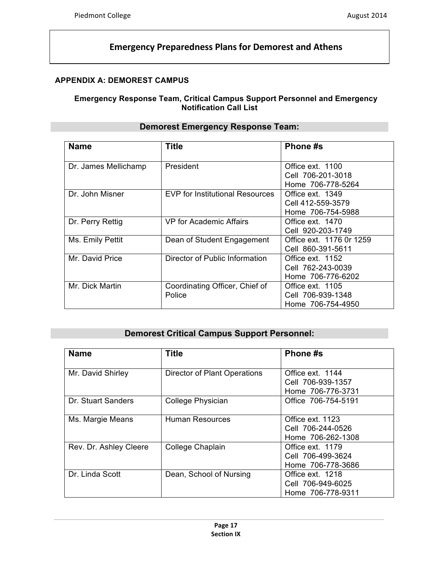# **APPENDIX A: DEMOREST CAMPUS**

### **Emergency Response Team, Critical Campus Support Personnel and Emergency Notification Call List**

| <b>Name</b>          | <b>Title</b>                             | Phone #s                                                   |  |
|----------------------|------------------------------------------|------------------------------------------------------------|--|
| Dr. James Mellichamp | President                                | Office ext. 1100<br>Cell 706-201-3018<br>Home 706-778-5264 |  |
| Dr. John Misner      | <b>EVP for Institutional Resources</b>   | Office ext. 1349<br>Cell 412-559-3579<br>Home 706-754-5988 |  |
| Dr. Perry Rettig     | VP for Academic Affairs                  | Office ext. 1470<br>Cell 920-203-1749                      |  |
| Ms. Emily Pettit     | Dean of Student Engagement               | Office ext. 1176 0r 1259<br>Cell 860-391-5611              |  |
| Mr. David Price      | Director of Public Information           | Office ext. 1152<br>Cell 762-243-0039<br>Home 706-776-6202 |  |
| Mr. Dick Martin      | Coordinating Officer, Chief of<br>Police | Office ext. 1105<br>Cell 706-939-1348<br>Home 706-754-4950 |  |

# **Demorest Emergency Response Team:**

# **Demorest Critical Campus Support Personnel:**

| <b>Name</b>            | <b>Title</b>                 | Phone #s                                                   |  |
|------------------------|------------------------------|------------------------------------------------------------|--|
| Mr. David Shirley      | Director of Plant Operations | Office ext. 1144<br>Cell 706-939-1357<br>Home 706-776-3731 |  |
| Dr. Stuart Sanders     | College Physician            | Office 706-754-5191                                        |  |
| Ms. Margie Means       | <b>Human Resources</b>       | Office ext. 1123<br>Cell 706-244-0526<br>Home 706-262-1308 |  |
| Rev. Dr. Ashley Cleere | College Chaplain             | Office ext. 1179<br>Cell 706-499-3624<br>Home 706-778-3686 |  |
| Dr. Linda Scott        | Dean, School of Nursing      | Office ext. 1218<br>Cell 706-949-6025<br>Home 706-778-9311 |  |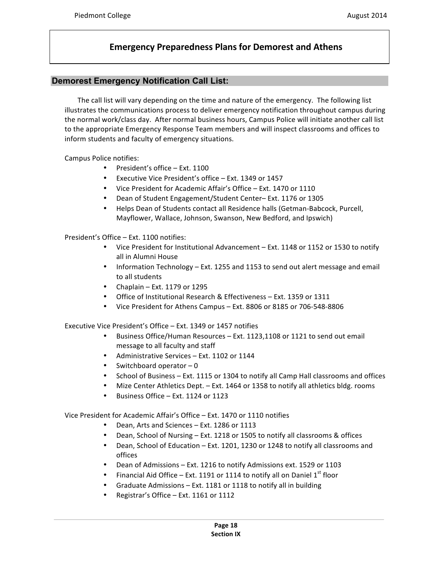### **Demorest Emergency Notification Call List:**

The call list will vary depending on the time and nature of the emergency. The following list illustrates the communications process to deliver emergency notification throughout campus during the normal work/class day. After normal business hours, Campus Police will initiate another call list to the appropriate Emergency Response Team members and will inspect classrooms and offices to inform students and faculty of emergency situations.

Campus Police notifies:

- President's office  $-$  Ext. 1100
- Executive Vice President's office Ext. 1349 or 1457
- Vice President for Academic Affair's Office Ext. 1470 or 1110
- Dean of Student Engagement/Student Center– Ext. 1176 or 1305
- Helps Dean of Students contact all Residence halls (Getman-Babcock, Purcell, Mayflower, Wallace, Johnson, Swanson, New Bedford, and Ipswich)

President's Office - Ext. 1100 notifies:

- Vice President for Institutional Advancement Ext. 1148 or 1152 or 1530 to notify all in Alumni House
- Information Technology Ext. 1255 and 1153 to send out alert message and email to all students
- Chaplain Ext. 1179 or 1295
- Office of Institutional Research & Effectiveness Ext. 1359 or 1311
- Vice President for Athens Campus Ext. 8806 or 8185 or 706-548-8806

Executive Vice President's Office – Ext. 1349 or 1457 notifies

- Business Office/Human Resources Ext. 1123,1108 or 1121 to send out email message to all faculty and staff
- Administrative Services Ext. 1102 or 1144
- Switchboard operator  $-0$
- School of Business Ext. 1115 or 1304 to notify all Camp Hall classrooms and offices
- Mize Center Athletics Dept. Ext. 1464 or 1358 to notify all athletics bldg. rooms
- Business Office Ext. 1124 or 1123

Vice President for Academic Affair's Office – Ext. 1470 or 1110 notifies

- Dean, Arts and Sciences Ext. 1286 or 1113
- Dean, School of Nursing Ext. 1218 or 1505 to notify all classrooms & offices
- Dean, School of Education Ext. 1201, 1230 or 1248 to notify all classrooms and offices
- Dean of Admissions Ext. 1216 to notify Admissions ext. 1529 or 1103
- Financial Aid Office Ext. 1191 or 1114 to notify all on Daniel  $1^{st}$  floor
- Graduate Admissions  $-$  Ext. 1181 or 1118 to notify all in building
- Registrar's Office Ext. 1161 or 1112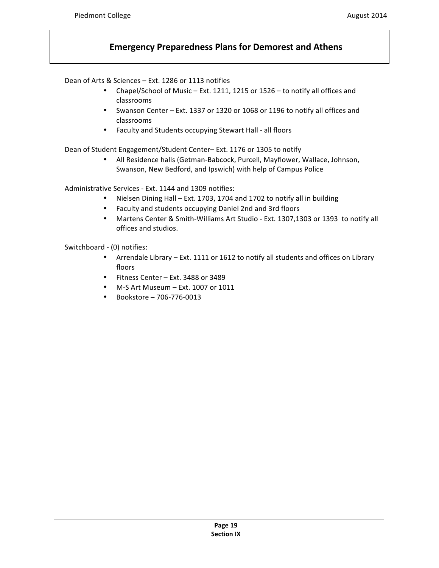Dean of Arts & Sciences – Ext. 1286 or 1113 notifies

- Chapel/School of Music Ext. 1211, 1215 or 1526 to notify all offices and classrooms
- Swanson Center Ext. 1337 or 1320 or 1068 or 1196 to notify all offices and classrooms
- Faculty and Students occupying Stewart Hall all floors

Dean of Student Engagement/Student Center-Ext. 1176 or 1305 to notify

• All Residence halls (Getman-Babcock, Purcell, Mayflower, Wallace, Johnson, Swanson, New Bedford, and Ipswich) with help of Campus Police

Administrative Services - Ext. 1144 and 1309 notifies:

- Nielsen Dining Hall Ext. 1703, 1704 and 1702 to notify all in building
- Faculty and students occupying Daniel 2nd and 3rd floors
- Martens Center & Smith-Williams Art Studio Ext. 1307,1303 or 1393 to notify all offices and studios.

Switchboard - (0) notifies:

- Arrendale Library Ext. 1111 or 1612 to notify all students and offices on Library floors
- Fitness Center Ext. 3488 or 3489
- M-S Art Museum Ext. 1007 or 1011
- Bookstore 706-776-0013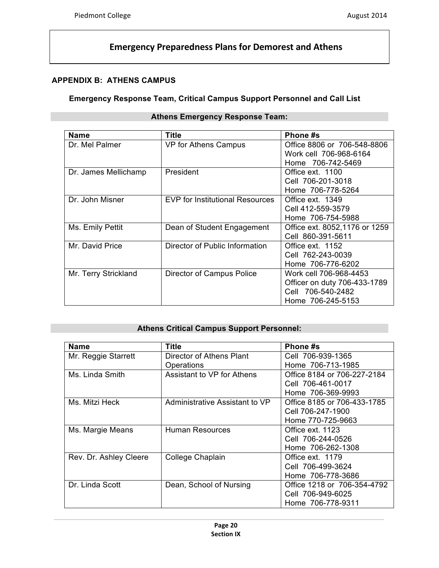# **APPENDIX B: ATHENS CAMPUS**

### **Emergency Response Team, Critical Campus Support Personnel and Call List**

| <b>Name</b>          | Title                                  | Phone #s                      |  |
|----------------------|----------------------------------------|-------------------------------|--|
| Dr. Mel Palmer       | VP for Athens Campus                   | Office 8806 or 706-548-8806   |  |
|                      |                                        | Work cell 706-968-6164        |  |
|                      |                                        | Home 706-742-5469             |  |
| Dr. James Mellichamp | President                              | Office ext. 1100              |  |
|                      |                                        | Cell 706-201-3018             |  |
|                      |                                        | Home 706-778-5264             |  |
| Dr. John Misner      | <b>EVP for Institutional Resources</b> | Office ext. 1349              |  |
|                      |                                        | Cell 412-559-3579             |  |
|                      |                                        | Home 706-754-5988             |  |
| Ms. Emily Pettit     | Dean of Student Engagement             | Office ext. 8052,1176 or 1259 |  |
|                      |                                        | Cell 860-391-5611             |  |
| Mr. David Price      | Director of Public Information         | Office ext. 1152              |  |
|                      |                                        | Cell 762-243-0039             |  |
|                      |                                        | Home 706-776-6202             |  |
| Mr. Terry Strickland | Director of Campus Police              | Work cell 706-968-4453        |  |
|                      |                                        | Officer on duty 706-433-1789  |  |
|                      |                                        | Cell 706-540-2482             |  |
|                      |                                        | Home 706-245-5153             |  |

### **Athens Emergency Response Team:**

### **Athens Critical Campus Support Personnel:**

| <b>Name</b>            | Title                          | Phone #s                    |  |
|------------------------|--------------------------------|-----------------------------|--|
| Mr. Reggie Starrett    | Director of Athens Plant       | Cell 706-939-1365           |  |
|                        | Operations                     | Home 706-713-1985           |  |
| Ms. Linda Smith        | Assistant to VP for Athens     | Office 8184 or 706-227-2184 |  |
|                        |                                | Cell 706-461-0017           |  |
|                        |                                | Home 706-369-9993           |  |
| Ms. Mitzi Heck         | Administrative Assistant to VP | Office 8185 or 706-433-1785 |  |
|                        |                                | Cell 706-247-1900           |  |
|                        |                                | Home 770-725-9663           |  |
| Ms. Margie Means       | <b>Human Resources</b>         | Office ext. 1123            |  |
|                        |                                | Cell 706-244-0526           |  |
|                        |                                | Home 706-262-1308           |  |
| Rev. Dr. Ashley Cleere | College Chaplain               | Office ext. 1179            |  |
|                        |                                | Cell 706-499-3624           |  |
|                        |                                | Home 706-778-3686           |  |
| Dr. Linda Scott        | Dean, School of Nursing        | Office 1218 or 706-354-4792 |  |
|                        |                                | Cell 706-949-6025           |  |
|                        |                                | Home 706-778-9311           |  |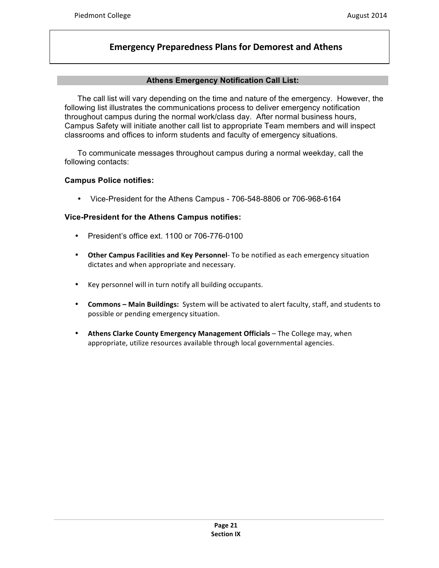#### **Athens Emergency Notification Call List:**

The call list will vary depending on the time and nature of the emergency. However, the following list illustrates the communications process to deliver emergency notification throughout campus during the normal work/class day. After normal business hours, Campus Safety will initiate another call list to appropriate Team members and will inspect classrooms and offices to inform students and faculty of emergency situations.

To communicate messages throughout campus during a normal weekday, call the following contacts:

#### **Campus Police notifies:**

• Vice-President for the Athens Campus - 706-548-8806 or 706-968-6164

#### **Vice-President for the Athens Campus notifies:**

- President's office ext. 1100 or 706-776-0100
- Other Campus Facilities and Key Personnel- To be notified as each emergency situation dictates and when appropriate and necessary.
- Key personnel will in turn notify all building occupants.
- **Commons Main Buildings:** System will be activated to alert faculty, staff, and students to possible or pending emergency situation.
- Athens Clarke County Emergency Management Officials The College may, when appropriate, utilize resources available through local governmental agencies.